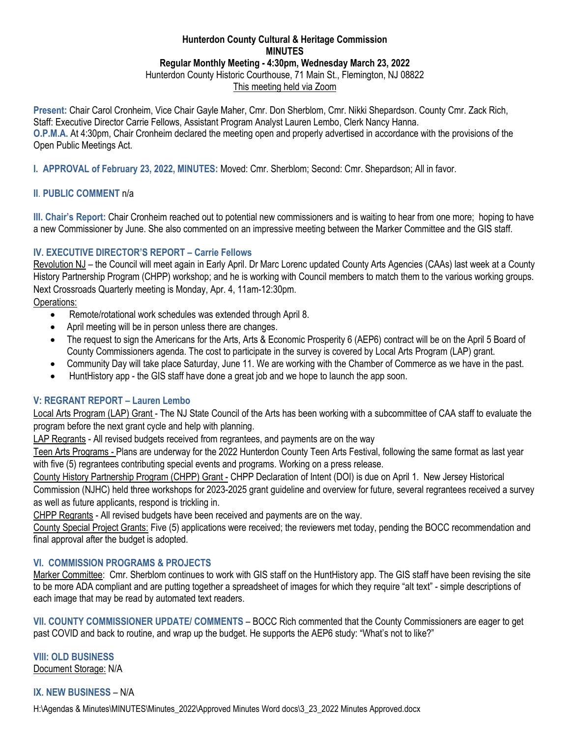#### **Hunterdon County Cultural & Heritage Commission MINUTES Regular Monthly Meeting - 4:30pm, Wednesday March 23, 2022** Hunterdon County Historic Courthouse, 71 Main St., Flemington, NJ 08822

This meeting held via Zoom

**Present:** Chair Carol Cronheim, Vice Chair Gayle Maher, Cmr. Don Sherblom, Cmr. Nikki Shepardson. County Cmr. Zack Rich, Staff: Executive Director Carrie Fellows, Assistant Program Analyst Lauren Lembo, Clerk Nancy Hanna. **O.P.M.A.** At 4:30pm, Chair Cronheim declared the meeting open and properly advertised in accordance with the provisions of the Open Public Meetings Act.

**I. APPROVAL of February 23, 2022, MINUTES:** Moved: Cmr. Sherblom; Second: Cmr. Shepardson; All in favor.

## **II**. **PUBLIC COMMENT** n/a

**III. Chair's Report:** Chair Cronheim reached out to potential new commissioners and is waiting to hear from one more; hoping to have a new Commissioner by June. She also commented on an impressive meeting between the Marker Committee and the GIS staff.

## **IV. EXECUTIVE DIRECTOR'S REPORT – Carrie Fellows**

Revolution NJ – the Council will meet again in Early April. Dr Marc Lorenc updated County Arts Agencies (CAAs) last week at a County History Partnership Program (CHPP) workshop; and he is working with Council members to match them to the various working groups. Next Crossroads Quarterly meeting is Monday, Apr. 4, 11am-12:30pm.

Operations:

- Remote/rotational work schedules was extended through April 8.
- April meeting will be in person unless there are changes.
- The request to sign the Americans for the Arts, Arts & Economic Prosperity 6 (AEP6) contract will be on the April 5 Board of County Commissioners agenda. The cost to participate in the survey is covered by Local Arts Program (LAP) grant.
- Community Day will take place Saturday, June 11. We are working with the Chamber of Commerce as we have in the past.
- HuntHistory app the GIS staff have done a great job and we hope to launch the app soon.

## **V: REGRANT REPORT – Lauren Lembo**

Local Arts Program (LAP) Grant - The NJ State Council of the Arts has been working with a subcommittee of CAA staff to evaluate the program before the next grant cycle and help with planning.

LAP Regrants - All revised budgets received from regrantees, and payments are on the way

Teen Arts Programs - Plans are underway for the 2022 Hunterdon County Teen Arts Festival, following the same format as last year with five (5) regrantees contributing special events and programs. Working on a press release.

County History Partnership Program (CHPP) Grant - CHPP Declaration of Intent (DOI) is due on April 1. New Jersey Historical Commission (NJHC) held three workshops for 2023-2025 grant guideline and overview for future, several regrantees received a survey as well as future applicants, respond is trickling in.

CHPP Regrants - All revised budgets have been received and payments are on the way.

County Special Project Grants: Five (5) applications were received; the reviewers met today, pending the BOCC recommendation and final approval after the budget is adopted.

#### **VI. COMMISSION PROGRAMS & PROJECTS**

Marker Committee: Cmr. Sherblom continues to work with GIS staff on the HuntHistory app. The GIS staff have been revising the site to be more ADA compliant and are putting together a spreadsheet of images for which they require "alt text" - simple descriptions of each image that may be read by automated text readers.

**VII. COUNTY COMMISSIONER UPDATE/ COMMENTS** – BOCC Rich commented that the County Commissioners are eager to get past COVID and back to routine, and wrap up the budget. He supports the AEP6 study: "What's not to like?"

**VIII: OLD BUSINESS** Document Storage: N/A

# **IX. NEW BUSINESS** – N/A

H:\Agendas & Minutes\MINUTES\Minutes\_2022\Approved Minutes Word docs\3\_23\_2022 Minutes Approved.docx